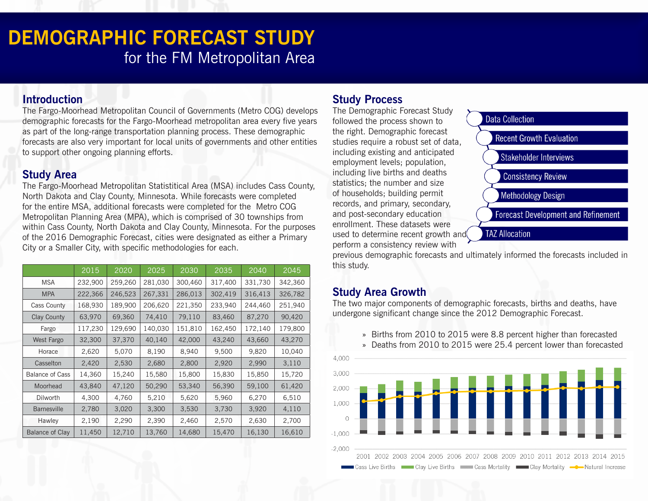# **DEMOGRAPHIC FORECAST STUDY** for the FM Metropolitan Area

#### **Introduction**

The Fargo-Moorhead Metropolitan Council of Governments (Metro COG) develops demographic forecasts for the Fargo-Moorhead metropolitan area every five years as part of the long-range transportation planning process. These demographic forecasts are also very important for local units of governments and other entities to support other ongoing planning efforts.

## **Study Area**

The Fargo-Moorhead Metropolitan Statistitical Area (MSA) includes Cass County, North Dakota and Clay County, Minnesota. While forecasts were completed for the entire MSA, additional forecasts were completed for the Metro COG Metropolitan Planning Area (MPA), which is comprised of 30 townships from within Cass County, North Dakota and Clay County, Minnesota. For the purposes of the 2016 Demographic Forecast, cities were designated as either a Primary City or a Smaller City, with specific methodologies for each.

|                        | 2015    | 2020    | 2025    | 2030    | 2035    | 2040    | 2045    |
|------------------------|---------|---------|---------|---------|---------|---------|---------|
| <b>MSA</b>             | 232,900 | 259,260 | 281,030 | 300,460 | 317,400 | 331,730 | 342,360 |
| <b>MPA</b>             | 222,366 | 246,523 | 267,331 | 286,013 | 302,419 | 316,413 | 326,782 |
| Cass County            | 168,930 | 189,900 | 206,620 | 221,350 | 233,940 | 244,460 | 251,940 |
| <b>Clay County</b>     | 63,970  | 69,360  | 74,410  | 79,110  | 83,460  | 87,270  | 90,420  |
| Fargo                  | 117,230 | 129,690 | 140,030 | 151,810 | 162,450 | 172,140 | 179,800 |
| West Fargo             | 32,300  | 37,370  | 40,140  | 42,000  | 43,240  | 43,660  | 43,270  |
| Horace                 | 2,620   | 5,070   | 8,190   | 8,940   | 9,500   | 9,820   | 10,040  |
| Casselton              | 2,420   | 2,530   | 2,680   | 2,800   | 2,920   | 2,990   | 3,110   |
| <b>Balance of Cass</b> | 14,360  | 15,240  | 15,580  | 15,800  | 15,830  | 15,850  | 15,720  |
| Moorhead               | 43,840  | 47,120  | 50,290  | 53,340  | 56,390  | 59,100  | 61,420  |
| Dilworth               | 4,300   | 4,760   | 5,210   | 5,620   | 5,960   | 6,270   | 6,510   |
| <b>Barnesville</b>     | 2,780   | 3,020   | 3,300   | 3,530   | 3,730   | 3,920   | 4,110   |
| Hawley                 | 2,190   | 2,290   | 2,390   | 2,460   | 2,570   | 2,630   | 2,700   |
| <b>Balance of Clay</b> | 11,450  | 12,710  | 13,760  | 14,680  | 15,470  | 16,130  | 16,610  |

# **Study Process**

The Demographic Forecast Study followed the process shown to the right. Demographic forecast studies require a robust set of data, including existing and anticipated employment levels; population, including live births and deaths statistics; the number and size of households; building permit records, and primary, secondary, and post-secondary education enrollment. These datasets were used to determine recent growth and perform a consistency review with



previous demographic forecasts and ultimately informed the forecasts included in this study.

# **Study Area Growth**

The two major components of demographic forecasts, births and deaths, have undergone significant change since the 2012 Demographic Forecast.